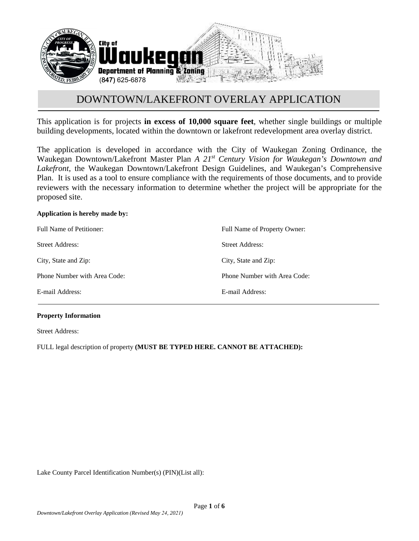

This application is for projects **in excess of 10,000 square feet**, whether single buildings or multiple building developments, located within the downtown or lakefront redevelopment area overlay district.

The application is developed in accordance with the City of Waukegan Zoning Ordinance, the Waukegan Downtown/Lakefront Master Plan *A 21st Century Vision for Waukegan's Downtown and Lakefront*, the Waukegan Downtown/Lakefront Design Guidelines, and Waukegan's Comprehensive Plan. It is used as a tool to ensure compliance with the requirements of those documents, and to provide reviewers with the necessary information to determine whether the project will be appropriate for the proposed site.

# **Application is hereby made by:**

| Full Name of Petitioner:     | Full Name of Property Owner: |
|------------------------------|------------------------------|
| <b>Street Address:</b>       | Street Address:              |
| City, State and Zip:         | City, State and Zip:         |
| Phone Number with Area Code: | Phone Number with Area Code: |
| E-mail Address:              | E-mail Address:              |

# **Property Information**

Street Address:

FULL legal description of property **(MUST BE TYPED HERE. CANNOT BE ATTACHED):**

Lake County Parcel Identification Number(s) (PIN)(List all):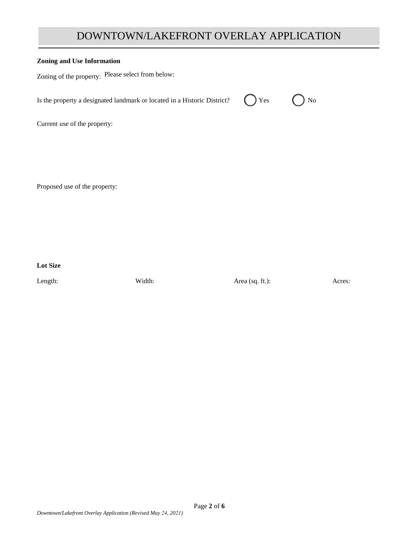# **Zoning and Use Information**

| Zoning of the property: Please select from below:                        |                            |    |  |
|--------------------------------------------------------------------------|----------------------------|----|--|
| Is the property a designated landmark or located in a Historic District? | $\left( \quad \right)$ Yes | No |  |
| Current use of the property:                                             |                            |    |  |
|                                                                          |                            |    |  |
|                                                                          |                            |    |  |

Proposed use of the property:

**Lot Size**

Length: Width: Width: Area (sq. ft.): Acres: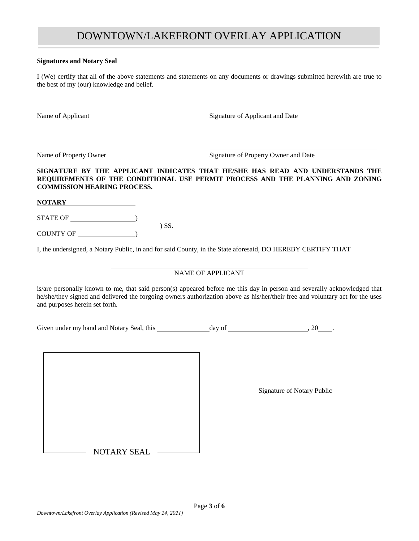### **Signatures and Notary Seal**

I (We) certify that all of the above statements and statements on any documents or drawings submitted herewith are true to the best of my (our) knowledge and belief.

Name of Applicant Signature of Applicant and Date

Name of Property Owner Signature of Property Owner and Date

### **SIGNATURE BY THE APPLICANT INDICATES THAT HE/SHE HAS READ AND UNDERSTANDS THE REQUIREMENTS OF THE CONDITIONAL USE PERMIT PROCESS AND THE PLANNING AND ZONING COMMISSION HEARING PROCESS.**

**NOTARY**

STATE OF  $\qquad \qquad$ ) SS.

COUNTY OF  $\_\_$ 

I, the undersigned, a Notary Public, in and for said County, in the State aforesaid, DO HEREBY CERTIFY THAT

# NAME OF APPLICANT

is/are personally known to me, that said person(s) appeared before me this day in person and severally acknowledged that he/she/they signed and delivered the forgoing owners authorization above as his/her/their free and voluntary act for the uses and purposes herein set forth.

Given under my hand and Notary Seal, this day of , 20 .

Signature of Notary Public NOTARY SEAL

*Downtown/Lakefront Overlay Application (Revised May 24, 2021)*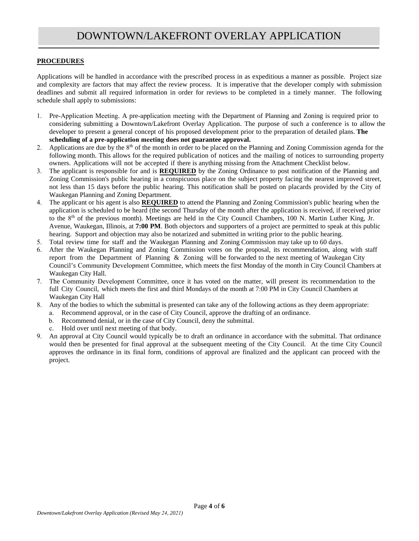# **PROCEDURES**

Applications will be handled in accordance with the prescribed process in as expeditious a manner as possible. Project size and complexity are factors that may affect the review process. It is imperative that the developer comply with submission deadlines and submit all required information in order for reviews to be completed in a timely manner. The following schedule shall apply to submissions:

- 1. Pre-Application Meeting. A pre-application meeting with the Department of Planning and Zoning is required prior to considering submitting a Downtown/Lakefront Overlay Application. The purpose of such a conference is to allow the developer to present a general concept of his proposed development prior to the preparation of detailed plans. **The scheduling of a pre-application meeting does not guarantee approval.**
- 2. Applications are due by the  $8<sup>th</sup>$  of the month in order to be placed on the Planning and Zoning Commission agenda for the following month. This allows for the required publication of notices and the mailing of notices to surrounding property owners. Applications will not be accepted if there is anything missing from the Attachment Checklist below.
- 3. The applicant is responsible for and is **REQUIRED** by the Zoning Ordinance to post notification of the Planning and Zoning Commission's public hearing in a conspicuous place on the subject property facing the nearest improved street, not less than 15 days before the public hearing. This notification shall be posted on placards provided by the City of Waukegan Planning and Zoning Department.
- 4. The applicant or his agent is also **REQUIRED** to attend the Planning and Zoning Commission's public hearing when the application is scheduled to be heard (the second Thursday of the month after the application is received, if received prior to the 8<sup>th</sup> of the previous month). Meetings are held in the City Council Chambers, 100 N. Martin Luther King, Jr. Avenue, Waukegan, Illinois, at **7:00 PM**. Both objectors and supporters of a project are permitted to speak at this public hearing. Support and objection may also be notarized and submitted in writing prior to the public hearing.
- 5. Total review time for staff and the Waukegan Planning and Zoning Commission may take up to 60 days.
- 6. After the Waukegan Planning and Zoning Commission votes on the proposal, its recommendation, along with staff report from the Department of Planning & Zoning will be forwarded to the next meeting of Waukegan City Council's Community Development Committee, which meets the first Monday of the month in City Council Chambers at Waukegan City Hall.
- 7. The Community Development Committee, once it has voted on the matter, will present its recommendation to the full City Council, which meets the first and third Mondays of the month at 7:00 PM in City Council Chambers at Waukegan City Hall
- 8. Any of the bodies to which the submittal is presented can take any of the following actions as they deem appropriate:
	- a. Recommend approval, or in the case of City Council, approve the drafting of an ordinance.
	- b. Recommend denial, or in the case of City Council, deny the submittal.
	- c. Hold over until next meeting of that body.
- 9. An approval at City Council would typically be to draft an ordinance in accordance with the submittal. That ordinance would then be presented for final approval at the subsequent meeting of the City Council. At the time City Council approves the ordinance in its final form, conditions of approval are finalized and the applicant can proceed with the project.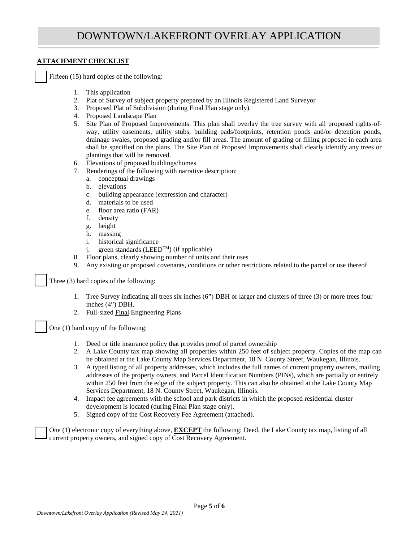# **ATTACHMENT CHECKLIST**

Fifteen (15) hard copies of the following:

- 1. This application
- 2. Plat of Survey of subject property prepared by an Illinois Registered Land Surveyor
- 3. Proposed Plat of Subdivision (during Final Plan stage only).
- 4. Proposed Landscape Plan
- 5. Site Plan of Proposed Improvements. This plan shall overlay the tree survey with all proposed rights-ofway, utility easements, utility stubs, building pads/footprints, retention ponds and/or detention ponds, drainage swales, proposed grading and/or fill areas. The amount of grading or filling proposed in each area shall be specified on the plans. The Site Plan of Proposed Improvements shall clearly identify any trees or plantings that will be removed.
- 6. Elevations of proposed buildings/homes
- 7. Renderings of the following with narrative description:
	- a. conceptual drawings
	- b. elevations
	- c. building appearance (expression and character)
	- d. materials to be used
	- e. floor area ratio (FAR)
	- f. density
	- g. height
	- h. massing
	- i. historical significance
	- i. green standards (LEED<sup>TM</sup>) (if applicable)
- 8. Floor plans, clearly showing number of units and their uses
- 9. Any existing or proposed covenants, conditions or other restrictions related to the parcel or use thereof

Three (3) hard copies of the following:

- 1. Tree Survey indicating all trees six inches (6") DBH or larger and clusters of three (3) or more trees four inches (4") DBH.
- 2. Full-sized Final Engineering Plans

One (1) hard copy of the following:

- 1. Deed or title insurance policy that provides proof of parcel ownership
- 2. A Lake County tax map showing all properties within 250 feet of subject property. Copies of the map can be obtained at the Lake County Map Services Department, 18 N. County Street, Waukegan, Illinois.
- 3. A typed listing of all property addresses, which includes the full names of current property owners, mailing addresses of the property owners, and Parcel Identification Numbers (PINs), which are partially or entirely within 250 feet from the edge of the subject property. This can also be obtained at the Lake County Map Services Department, 18 N. County Street, Waukegan, Illinois.
- 4. Impact fee agreements with the school and park districts in which the proposed residential cluster development is located (during Final Plan stage only).
- 5. Signed copy of the Cost Recovery Fee Agreement (attached).

One (1) electronic copy of everything above, **EXCEPT** the following: Deed, the Lake County tax map, listing of all current property owners, and signed copy of Cost Recovery Agreement.